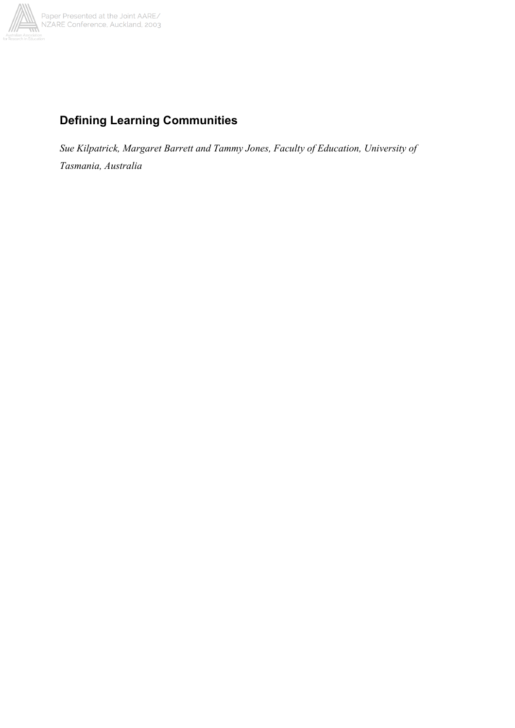

# **Defining Learning Communities**

*Sue Kilpatrick, Margaret Barrett and Tammy Jones, Faculty of Education, University of Tasmania, Australia*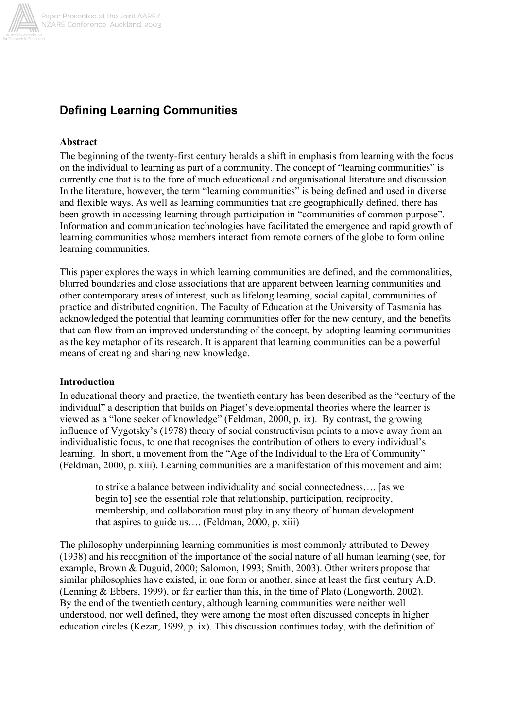

## **Defining Learning Communities**

#### **Abstract**

The beginning of the twenty-first century heralds a shift in emphasis from learning with the focus on the individual to learning as part of a community. The concept of "learning communities" is currently one that is to the fore of much educational and organisational literature and discussion. In the literature, however, the term "learning communities" is being defined and used in diverse and flexible ways. As well as learning communities that are geographically defined, there has been growth in accessing learning through participation in "communities of common purpose". Information and communication technologies have facilitated the emergence and rapid growth of learning communities whose members interact from remote corners of the globe to form online learning communities.

This paper explores the ways in which learning communities are defined, and the commonalities, blurred boundaries and close associations that are apparent between learning communities and other contemporary areas of interest, such as lifelong learning, social capital, communities of practice and distributed cognition. The Faculty of Education at the University of Tasmania has acknowledged the potential that learning communities offer for the new century, and the benefits that can flow from an improved understanding of the concept, by adopting learning communities as the key metaphor of its research. It is apparent that learning communities can be a powerful means of creating and sharing new knowledge.

#### **Introduction**

In educational theory and practice, the twentieth century has been described as the "century of the individual" a description that builds on Piaget's developmental theories where the learner is viewed as a "lone seeker of knowledge" (Feldman, 2000, p. ix). By contrast, the growing influence of Vygotsky's (1978) theory of social constructivism points to a move away from an individualistic focus, to one that recognises the contribution of others to every individual's learning. In short, a movement from the "Age of the Individual to the Era of Community" (Feldman, 2000, p. xiii). Learning communities are a manifestation of this movement and aim:

to strike a balance between individuality and social connectedness…. [as we begin to] see the essential role that relationship, participation, reciprocity, membership, and collaboration must play in any theory of human development that aspires to guide us…. (Feldman, 2000, p. xiii)

The philosophy underpinning learning communities is most commonly attributed to Dewey (1938) and his recognition of the importance of the social nature of all human learning (see, for example, Brown & Duguid, 2000; Salomon, 1993; Smith, 2003). Other writers propose that similar philosophies have existed, in one form or another, since at least the first century A.D. (Lenning & Ebbers, 1999), or far earlier than this, in the time of Plato (Longworth, 2002). By the end of the twentieth century, although learning communities were neither well understood, nor well defined, they were among the most often discussed concepts in higher education circles (Kezar, 1999, p. ix). This discussion continues today, with the definition of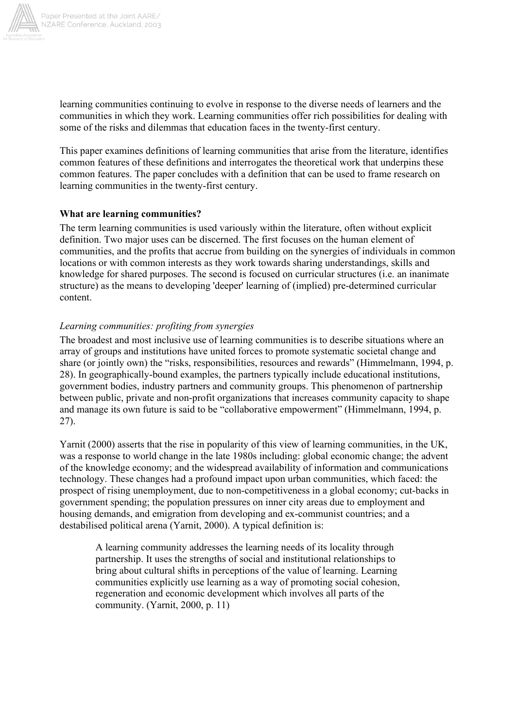

learning communities continuing to evolve in response to the diverse needs of learners and the communities in which they work. Learning communities offer rich possibilities for dealing with some of the risks and dilemmas that education faces in the twenty-first century.

This paper examines definitions of learning communities that arise from the literature, identifies common features of these definitions and interrogates the theoretical work that underpins these common features. The paper concludes with a definition that can be used to frame research on learning communities in the twenty-first century.

## **What are learning communities?**

The term learning communities is used variously within the literature, often without explicit definition. Two major uses can be discerned. The first focuses on the human element of communities, and the profits that accrue from building on the synergies of individuals in common locations or with common interests as they work towards sharing understandings, skills and knowledge for shared purposes. The second is focused on curricular structures (i.e. an inanimate structure) as the means to developing 'deeper' learning of (implied) pre-determined curricular content.

## *Learning communities: profiting from synergies*

The broadest and most inclusive use of learning communities is to describe situations where an array of groups and institutions have united forces to promote systematic societal change and share (or jointly own) the "risks, responsibilities, resources and rewards" (Himmelmann, 1994, p. 28). In geographically-bound examples, the partners typically include educational institutions, government bodies, industry partners and community groups. This phenomenon of partnership between public, private and non-profit organizations that increases community capacity to shape and manage its own future is said to be "collaborative empowerment" (Himmelmann, 1994, p. 27).

Yarnit (2000) asserts that the rise in popularity of this view of learning communities, in the UK, was a response to world change in the late 1980s including: global economic change; the advent of the knowledge economy; and the widespread availability of information and communications technology. These changes had a profound impact upon urban communities, which faced: the prospect of rising unemployment, due to non-competitiveness in a global economy; cut-backs in government spending; the population pressures on inner city areas due to employment and housing demands, and emigration from developing and ex-communist countries; and a destabilised political arena (Yarnit, 2000). A typical definition is:

A learning community addresses the learning needs of its locality through partnership. It uses the strengths of social and institutional relationships to bring about cultural shifts in perceptions of the value of learning. Learning communities explicitly use learning as a way of promoting social cohesion, regeneration and economic development which involves all parts of the community. (Yarnit, 2000, p. 11)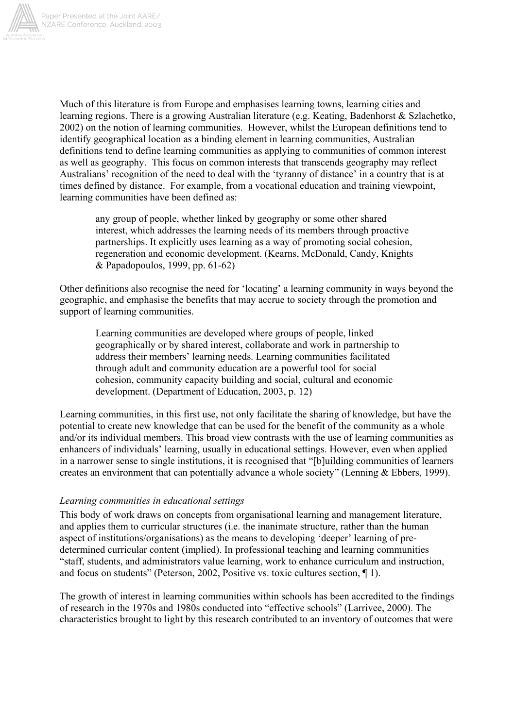

Much of this literature is from Europe and emphasises learning towns, learning cities and learning regions. There is a growing Australian literature (e.g. Keating, Badenhorst & Szlachetko, 2002) on the notion of learning communities. However, whilst the European definitions tend to identify geographical location as a binding element in learning communities, Australian definitions tend to define learning communities as applying to communities of common interest as well as geography. This focus on common interests that transcends geography may reflect Australians' recognition of the need to deal with the 'tyranny of distance' in a country that is at times defined by distance. For example, from a vocational education and training viewpoint, learning communities have been defined as:

any group of people, whether linked by geography or some other shared interest, which addresses the learning needs of its members through proactive partnerships. It explicitly uses learning as a way of promoting social cohesion, regeneration and economic development. (Kearns, McDonald, Candy, Knights & Papadopoulos, 1999, pp. 61-62)

Other definitions also recognise the need for 'locating' a learning community in ways beyond the geographic, and emphasise the benefits that may accrue to society through the promotion and support of learning communities.

Learning communities are developed where groups of people, linked geographically or by shared interest, collaborate and work in partnership to address their members' learning needs. Learning communities facilitated through adult and community education are a powerful tool for social cohesion, community capacity building and social, cultural and economic development. (Department of Education, 2003, p. 12)

Learning communities, in this first use, not only facilitate the sharing of knowledge, but have the potential to create new knowledge that can be used for the benefit of the community as a whole and/or its individual members. This broad view contrasts with the use of learning communities as enhancers of individuals' learning, usually in educational settings. However, even when applied in a narrower sense to single institutions, it is recognised that "[b]uilding communities of learners creates an environment that can potentially advance a whole society" (Lenning & Ebbers, 1999).

## *Learning communities in educational settings*

This body of work draws on concepts from organisational learning and management literature, and applies them to curricular structures (i.e. the inanimate structure, rather than the human aspect of institutions/organisations) as the means to developing 'deeper' learning of predetermined curricular content (implied). In professional teaching and learning communities "staff, students, and administrators value learning, work to enhance curriculum and instruction, and focus on students" (Peterson, 2002, Positive vs. toxic cultures section, ¶ 1).

The growth of interest in learning communities within schools has been accredited to the findings of research in the 1970s and 1980s conducted into "effective schools" (Larrivee, 2000). The characteristics brought to light by this research contributed to an inventory of outcomes that were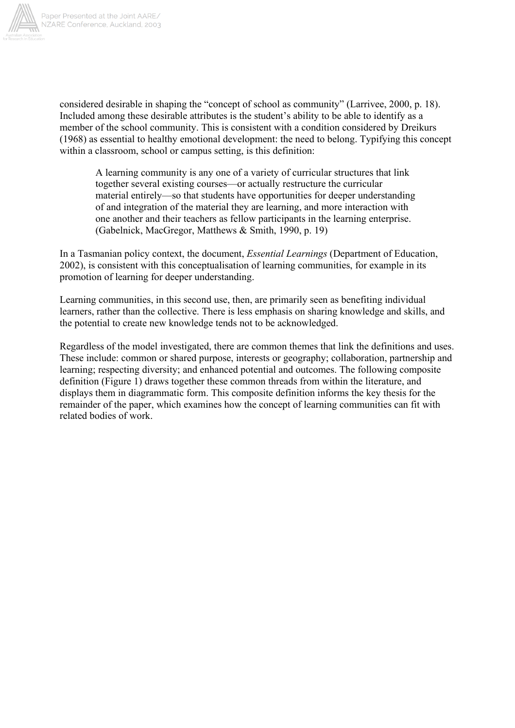

considered desirable in shaping the "concept of school as community" (Larrivee, 2000, p. 18). Included among these desirable attributes is the student's ability to be able to identify as a member of the school community. This is consistent with a condition considered by Dreikurs (1968) as essential to healthy emotional development: the need to belong. Typifying this concept within a classroom, school or campus setting, is this definition:

A learning community is any one of a variety of curricular structures that link together several existing courses—or actually restructure the curricular material entirely—so that students have opportunities for deeper understanding of and integration of the material they are learning, and more interaction with one another and their teachers as fellow participants in the learning enterprise. (Gabelnick, MacGregor, Matthews & Smith, 1990, p. 19)

In a Tasmanian policy context, the document, *Essential Learnings* (Department of Education, 2002), is consistent with this conceptualisation of learning communities, for example in its promotion of learning for deeper understanding.

Learning communities, in this second use, then, are primarily seen as benefiting individual learners, rather than the collective. There is less emphasis on sharing knowledge and skills, and the potential to create new knowledge tends not to be acknowledged.

Regardless of the model investigated, there are common themes that link the definitions and uses. These include: common or shared purpose, interests or geography; collaboration, partnership and learning; respecting diversity; and enhanced potential and outcomes. The following composite definition (Figure 1) draws together these common threads from within the literature, and displays them in diagrammatic form. This composite definition informs the key thesis for the remainder of the paper, which examines how the concept of learning communities can fit with related bodies of work.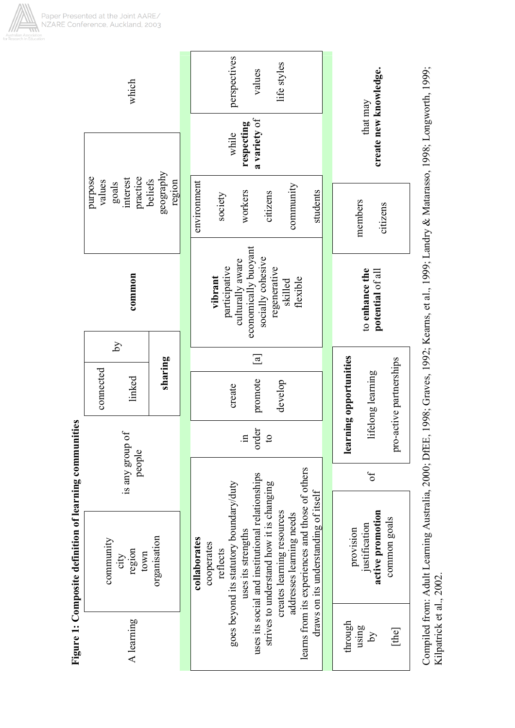| which                                                  |                                                     |                                |         |             | perspectives<br>life styles<br>values                                                                                            |                                                                   |                    |                                                 |                                                                                                                                                       |                                    | create new knowledge.<br>that may |                                                                |                         |
|--------------------------------------------------------|-----------------------------------------------------|--------------------------------|---------|-------------|----------------------------------------------------------------------------------------------------------------------------------|-------------------------------------------------------------------|--------------------|-------------------------------------------------|-------------------------------------------------------------------------------------------------------------------------------------------------------|------------------------------------|-----------------------------------|----------------------------------------------------------------|-------------------------|
|                                                        | practice<br>interest                                |                                |         |             | a variety of<br>respecting<br>while                                                                                              |                                                                   |                    |                                                 |                                                                                                                                                       |                                    |                                   |                                                                |                         |
|                                                        | purpose<br>values<br>goals                          | geography<br>beliefs<br>region |         | environment | society                                                                                                                          | workers                                                           | citizens           | community                                       | students                                                                                                                                              |                                    | members<br>citizens               |                                                                |                         |
|                                                        | common                                              |                                |         |             | culturally aware<br>economically buoyant<br>socially cohesive<br>participative<br>regenerative<br>vibrant<br>flexible<br>skilled |                                                                   |                    |                                                 |                                                                                                                                                       | to enhance the<br>potential of all |                                   |                                                                |                         |
|                                                        | λÁ                                                  |                                |         |             | $\boxed{a}$                                                                                                                      |                                                                   |                    |                                                 |                                                                                                                                                       |                                    |                                   |                                                                |                         |
|                                                        | connected                                           | linked                         | sharing |             |                                                                                                                                  | promote<br>develop<br>create                                      |                    |                                                 |                                                                                                                                                       |                                    |                                   | lifelong learning                                              | pro-active partnerships |
|                                                        | ЪÇ<br>is any group<br>people                        |                                |         |             | order<br>$\mathbf{c}$<br>$\Xi$ .                                                                                                 |                                                                   |                    |                                                 |                                                                                                                                                       | learning opportunities             |                                   |                                                                |                         |
|                                                        |                                                     |                                |         |             |                                                                                                                                  | goes beyond its statutory boundary/duty<br>cooperates<br>reflects |                    |                                                 | learns from its experiences and those of others<br>strives to understand how it is changing<br>creates learning resources<br>addresses learning needs |                                    |                                   | ЪÓ                                                             |                         |
| Figure 1: Composite definition of learning communities | organisation<br>community<br>region<br>town<br>city |                                |         |             | collaborates                                                                                                                     |                                                                   | uses its strengths | uses its social and institutional relationships |                                                                                                                                                       |                                    |                                   | active promotion<br>common goals<br>justification<br>provision |                         |
|                                                        |                                                     | A learning                     |         |             |                                                                                                                                  |                                                                   |                    | draws on its understanding of itself            |                                                                                                                                                       | through                            | using<br>$\tilde{A}$              | [the                                                           |                         |

Compiled from: Adult Learning Australia, 2000; DfEE, 1998; Graves, 1992; Kearns, et al., 1999; Landry & Matarasso, 1998; Longworth, 1999;<br>Kilpatrick et al., 2002. Compiled from: Adult Learning Australia, 2000; DfEE, 1998; Graves, 1992; Kearns, et al., 1999; Landry & Matarasso, 1998; Longworth, 1999; Kilpatrick et al., 2002.

Paper Presented at the Joint AARE/<br>NZARE Conference, Auckland, 2003

Ш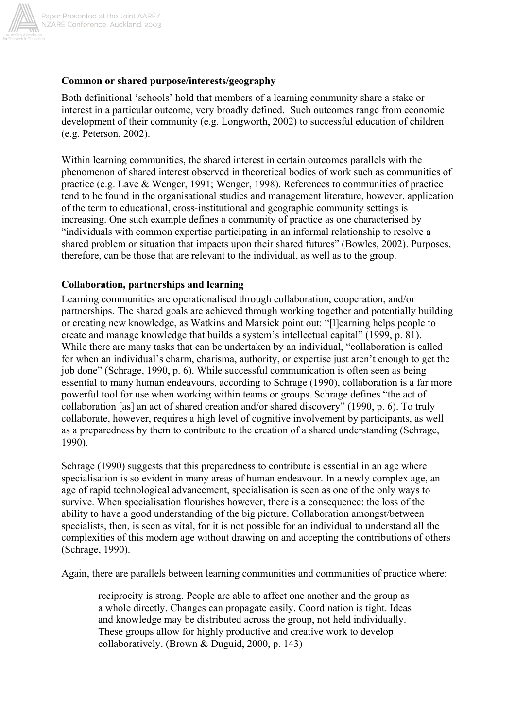

## **Common or shared purpose/interests/geography**

Both definitional 'schools' hold that members of a learning community share a stake or interest in a particular outcome, very broadly defined. Such outcomes range from economic development of their community (e.g. Longworth, 2002) to successful education of children (e.g. Peterson, 2002).

Within learning communities, the shared interest in certain outcomes parallels with the phenomenon of shared interest observed in theoretical bodies of work such as communities of practice (e.g. Lave & Wenger, 1991; Wenger, 1998). References to communities of practice tend to be found in the organisational studies and management literature, however, application of the term to educational, cross-institutional and geographic community settings is increasing. One such example defines a community of practice as one characterised by "individuals with common expertise participating in an informal relationship to resolve a shared problem or situation that impacts upon their shared futures" (Bowles, 2002). Purposes, therefore, can be those that are relevant to the individual, as well as to the group.

## **Collaboration, partnerships and learning**

Learning communities are operationalised through collaboration, cooperation, and/or partnerships. The shared goals are achieved through working together and potentially building or creating new knowledge, as Watkins and Marsick point out: "[l]earning helps people to create and manage knowledge that builds a system's intellectual capital" (1999, p. 81). While there are many tasks that can be undertaken by an individual, "collaboration is called for when an individual's charm, charisma, authority, or expertise just aren't enough to get the job done" (Schrage, 1990, p. 6). While successful communication is often seen as being essential to many human endeavours, according to Schrage (1990), collaboration is a far more powerful tool for use when working within teams or groups. Schrage defines "the act of collaboration [as] an act of shared creation and/or shared discovery" (1990, p. 6). To truly collaborate, however, requires a high level of cognitive involvement by participants, as well as a preparedness by them to contribute to the creation of a shared understanding (Schrage, 1990).

Schrage (1990) suggests that this preparedness to contribute is essential in an age where specialisation is so evident in many areas of human endeavour. In a newly complex age, an age of rapid technological advancement, specialisation is seen as one of the only ways to survive. When specialisation flourishes however, there is a consequence: the loss of the ability to have a good understanding of the big picture. Collaboration amongst/between specialists, then, is seen as vital, for it is not possible for an individual to understand all the complexities of this modern age without drawing on and accepting the contributions of others (Schrage, 1990).

Again, there are parallels between learning communities and communities of practice where:

reciprocity is strong. People are able to affect one another and the group as a whole directly. Changes can propagate easily. Coordination is tight. Ideas and knowledge may be distributed across the group, not held individually. These groups allow for highly productive and creative work to develop collaboratively. (Brown & Duguid, 2000, p. 143)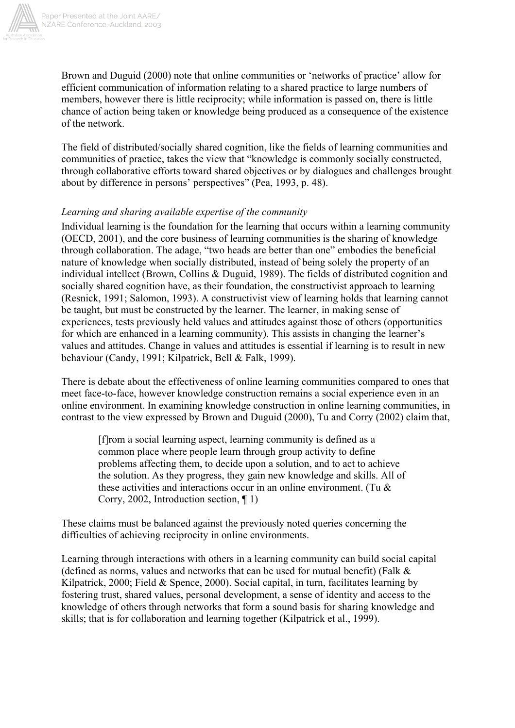

Brown and Duguid (2000) note that online communities or 'networks of practice' allow for efficient communication of information relating to a shared practice to large numbers of members, however there is little reciprocity; while information is passed on, there is little chance of action being taken or knowledge being produced as a consequence of the existence of the network.

The field of distributed/socially shared cognition, like the fields of learning communities and communities of practice, takes the view that "knowledge is commonly socially constructed, through collaborative efforts toward shared objectives or by dialogues and challenges brought about by difference in persons' perspectives" (Pea, 1993, p. 48).

## *Learning and sharing available expertise of the community*

Individual learning is the foundation for the learning that occurs within a learning community (OECD, 2001), and the core business of learning communities is the sharing of knowledge through collaboration. The adage, "two heads are better than one" embodies the beneficial nature of knowledge when socially distributed, instead of being solely the property of an individual intellect (Brown, Collins & Duguid, 1989). The fields of distributed cognition and socially shared cognition have, as their foundation, the constructivist approach to learning (Resnick, 1991; Salomon, 1993). A constructivist view of learning holds that learning cannot be taught, but must be constructed by the learner. The learner, in making sense of experiences, tests previously held values and attitudes against those of others (opportunities for which are enhanced in a learning community). This assists in changing the learner's values and attitudes. Change in values and attitudes is essential if learning is to result in new behaviour (Candy, 1991; Kilpatrick, Bell & Falk, 1999).

There is debate about the effectiveness of online learning communities compared to ones that meet face-to-face, however knowledge construction remains a social experience even in an online environment. In examining knowledge construction in online learning communities, in contrast to the view expressed by Brown and Duguid (2000), Tu and Corry (2002) claim that,

[f]rom a social learning aspect, learning community is defined as a common place where people learn through group activity to define problems affecting them, to decide upon a solution, and to act to achieve the solution. As they progress, they gain new knowledge and skills. All of these activities and interactions occur in an online environment. (Tu & Corry, 2002, Introduction section, ¶ 1)

These claims must be balanced against the previously noted queries concerning the difficulties of achieving reciprocity in online environments.

Learning through interactions with others in a learning community can build social capital (defined as norms, values and networks that can be used for mutual benefit) (Falk & Kilpatrick, 2000; Field & Spence, 2000). Social capital, in turn, facilitates learning by fostering trust, shared values, personal development, a sense of identity and access to the knowledge of others through networks that form a sound basis for sharing knowledge and skills; that is for collaboration and learning together (Kilpatrick et al., 1999).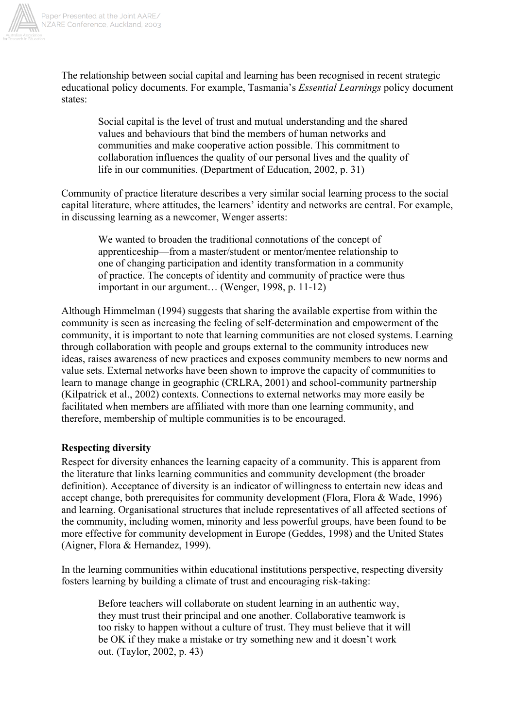

The relationship between social capital and learning has been recognised in recent strategic educational policy documents. For example, Tasmania's *Essential Learnings* policy document states:

Social capital is the level of trust and mutual understanding and the shared values and behaviours that bind the members of human networks and communities and make cooperative action possible. This commitment to collaboration influences the quality of our personal lives and the quality of life in our communities. (Department of Education, 2002, p. 31)

Community of practice literature describes a very similar social learning process to the social capital literature, where attitudes, the learners' identity and networks are central. For example, in discussing learning as a newcomer, Wenger asserts:

We wanted to broaden the traditional connotations of the concept of apprenticeship—from a master/student or mentor/mentee relationship to one of changing participation and identity transformation in a community of practice. The concepts of identity and community of practice were thus important in our argument… (Wenger, 1998, p. 11-12)

Although Himmelman (1994) suggests that sharing the available expertise from within the community is seen as increasing the feeling of self-determination and empowerment of the community, it is important to note that learning communities are not closed systems. Learning through collaboration with people and groups external to the community introduces new ideas, raises awareness of new practices and exposes community members to new norms and value sets. External networks have been shown to improve the capacity of communities to learn to manage change in geographic (CRLRA, 2001) and school-community partnership (Kilpatrick et al., 2002) contexts. Connections to external networks may more easily be facilitated when members are affiliated with more than one learning community, and therefore, membership of multiple communities is to be encouraged.

## **Respecting diversity**

Respect for diversity enhances the learning capacity of a community. This is apparent from the literature that links learning communities and community development (the broader definition). Acceptance of diversity is an indicator of willingness to entertain new ideas and accept change, both prerequisites for community development (Flora, Flora & Wade, 1996) and learning. Organisational structures that include representatives of all affected sections of the community, including women, minority and less powerful groups, have been found to be more effective for community development in Europe (Geddes, 1998) and the United States (Aigner, Flora & Hernandez, 1999).

In the learning communities within educational institutions perspective, respecting diversity fosters learning by building a climate of trust and encouraging risk-taking:

Before teachers will collaborate on student learning in an authentic way, they must trust their principal and one another. Collaborative teamwork is too risky to happen without a culture of trust. They must believe that it will be OK if they make a mistake or try something new and it doesn't work out. (Taylor, 2002, p. 43)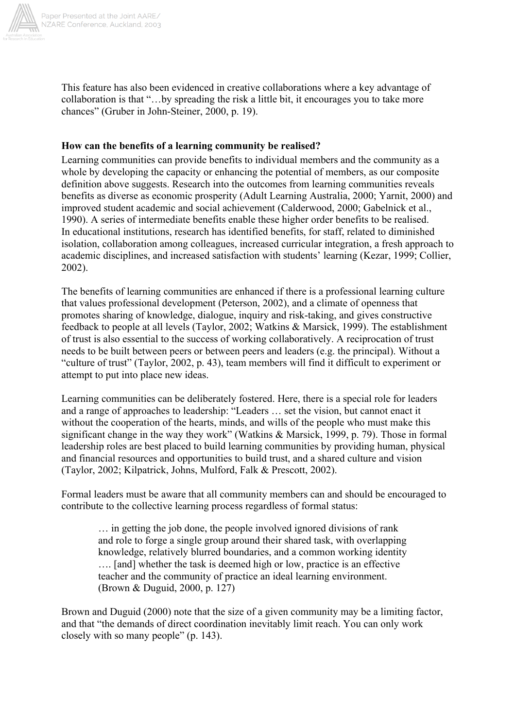

This feature has also been evidenced in creative collaborations where a key advantage of collaboration is that "…by spreading the risk a little bit, it encourages you to take more chances" (Gruber in John-Steiner, 2000, p. 19).

## **How can the benefits of a learning community be realised?**

Learning communities can provide benefits to individual members and the community as a whole by developing the capacity or enhancing the potential of members, as our composite definition above suggests. Research into the outcomes from learning communities reveals benefits as diverse as economic prosperity (Adult Learning Australia, 2000; Yarnit, 2000) and improved student academic and social achievement (Calderwood, 2000; Gabelnick et al., 1990). A series of intermediate benefits enable these higher order benefits to be realised. In educational institutions, research has identified benefits, for staff, related to diminished isolation, collaboration among colleagues, increased curricular integration, a fresh approach to academic disciplines, and increased satisfaction with students' learning (Kezar, 1999; Collier, 2002).

The benefits of learning communities are enhanced if there is a professional learning culture that values professional development (Peterson, 2002), and a climate of openness that promotes sharing of knowledge, dialogue, inquiry and risk-taking, and gives constructive feedback to people at all levels (Taylor, 2002; Watkins & Marsick, 1999). The establishment of trust is also essential to the success of working collaboratively. A reciprocation of trust needs to be built between peers or between peers and leaders (e.g. the principal). Without a "culture of trust" (Taylor, 2002, p. 43), team members will find it difficult to experiment or attempt to put into place new ideas.

Learning communities can be deliberately fostered. Here, there is a special role for leaders and a range of approaches to leadership: "Leaders … set the vision, but cannot enact it without the cooperation of the hearts, minds, and wills of the people who must make this significant change in the way they work" (Watkins & Marsick, 1999, p. 79). Those in formal leadership roles are best placed to build learning communities by providing human, physical and financial resources and opportunities to build trust, and a shared culture and vision (Taylor, 2002; Kilpatrick, Johns, Mulford, Falk & Prescott, 2002).

Formal leaders must be aware that all community members can and should be encouraged to contribute to the collective learning process regardless of formal status:

… in getting the job done, the people involved ignored divisions of rank and role to forge a single group around their shared task, with overlapping knowledge, relatively blurred boundaries, and a common working identity …. [and] whether the task is deemed high or low, practice is an effective teacher and the community of practice an ideal learning environment. (Brown & Duguid, 2000, p. 127)

Brown and Duguid (2000) note that the size of a given community may be a limiting factor, and that "the demands of direct coordination inevitably limit reach. You can only work closely with so many people" (p. 143).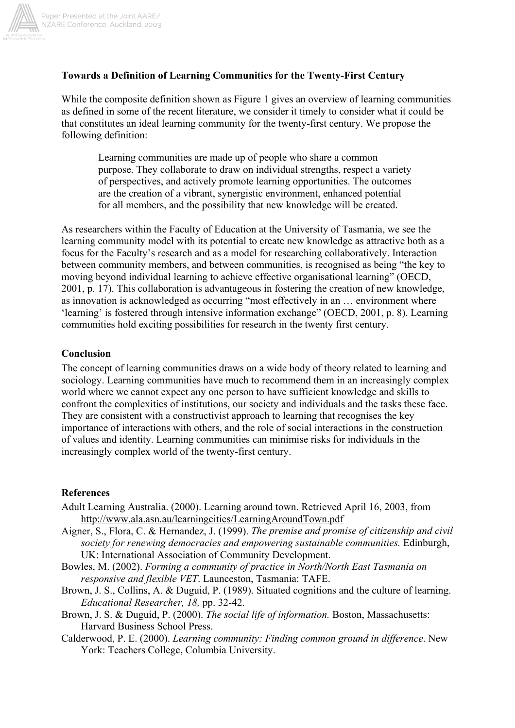

## **Towards a Definition of Learning Communities for the Twenty-First Century**

While the composite definition shown as Figure 1 gives an overview of learning communities as defined in some of the recent literature, we consider it timely to consider what it could be that constitutes an ideal learning community for the twenty-first century. We propose the following definition:

Learning communities are made up of people who share a common purpose. They collaborate to draw on individual strengths, respect a variety of perspectives, and actively promote learning opportunities. The outcomes are the creation of a vibrant, synergistic environment, enhanced potential for all members, and the possibility that new knowledge will be created.

As researchers within the Faculty of Education at the University of Tasmania, we see the learning community model with its potential to create new knowledge as attractive both as a focus for the Faculty's research and as a model for researching collaboratively. Interaction between community members, and between communities, is recognised as being "the key to moving beyond individual learning to achieve effective organisational learning" (OECD, 2001, p. 17). This collaboration is advantageous in fostering the creation of new knowledge, as innovation is acknowledged as occurring "most effectively in an … environment where 'learning' is fostered through intensive information exchange" (OECD, 2001, p. 8). Learning communities hold exciting possibilities for research in the twenty first century.

#### **Conclusion**

The concept of learning communities draws on a wide body of theory related to learning and sociology. Learning communities have much to recommend them in an increasingly complex world where we cannot expect any one person to have sufficient knowledge and skills to confront the complexities of institutions, our society and individuals and the tasks these face. They are consistent with a constructivist approach to learning that recognises the key importance of interactions with others, and the role of social interactions in the construction of values and identity. Learning communities can minimise risks for individuals in the increasingly complex world of the twenty-first century.

#### **References**

- Adult Learning Australia. (2000). Learning around town. Retrieved April 16, 2003, from http://www.ala.asn.au/learningcities/LearningAroundTown.pdf
- Aigner, S., Flora, C. & Hernandez, J. (1999). *The premise and promise of citizenship and civil society for renewing democracies and empowering sustainable communities.* Edinburgh, UK: International Association of Community Development.
- Bowles, M. (2002). *Forming a community of practice in North/North East Tasmania on responsive and flexible VET*. Launceston, Tasmania: TAFE.
- Brown, J. S., Collins, A. & Duguid, P. (1989). Situated cognitions and the culture of learning. *Educational Researcher, 18,* pp. 32-42.
- Brown, J. S. & Duguid, P. (2000). *The social life of information.* Boston, Massachusetts: Harvard Business School Press.
- Calderwood, P. E. (2000). *Learning community: Finding common ground in difference*. New York: Teachers College, Columbia University.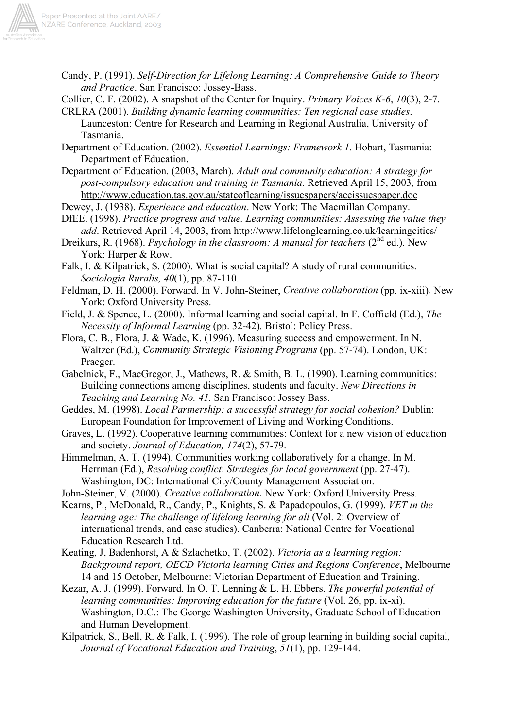Candy, P. (1991). *Self-Direction for Lifelong Learning: A Comprehensive Guide to Theory and Practice*. San Francisco: Jossey-Bass.

Collier, C. F. (2002). A snapshot of the Center for Inquiry. *Primary Voices K-6*, *10*(3), 2-7.

CRLRA (2001). *Building dynamic learning communities: Ten regional case studies*. Launceston: Centre for Research and Learning in Regional Australia, University of Tasmania.

Department of Education. (2002). *Essential Learnings: Framework 1*. Hobart, Tasmania: Department of Education.

Department of Education. (2003, March). *Adult and community education: A strategy for post-compulsory education and training in Tasmania.* Retrieved April 15, 2003, from http://www.education.tas.gov.au/stateoflearning/issuespapers/aceissuespaper.doc

Dewey, J. (1938). *Experience and education*. New York: The Macmillan Company.

DfEE. (1998). *Practice progress and value. Learning communities: Assessing the value they add*. Retrieved April 14, 2003, from http://www.lifelonglearning.co.uk/learningcities/

Dreikurs, R. (1968). *Psychology in the classroom: A manual for teachers* (2<sup>nd</sup> ed.). New York: Harper & Row.

Falk, I. & Kilpatrick, S. (2000). What is social capital? A study of rural communities. *Sociologia Ruralis, 40*(1), pp. 87-110.

Feldman, D. H. (2000). Forward. In V. John-Steiner, *Creative collaboration* (pp. ix-xiii)*.* New York: Oxford University Press.

Field, J. & Spence, L. (2000). Informal learning and social capital. In F. Coffield (Ed.), *The Necessity of Informal Learning* (pp. 32-42)*.* Bristol: Policy Press.

Flora, C. B., Flora, J. & Wade, K. (1996). Measuring success and empowerment. In N. Waltzer (Ed.), *Community Strategic Visioning Programs* (pp. 57-74). London, UK: Praeger.

Gabelnick, F., MacGregor, J., Mathews, R. & Smith, B. L. (1990). Learning communities: Building connections among disciplines, students and faculty. *New Directions in Teaching and Learning No. 41.* San Francisco: Jossey Bass.

Geddes, M. (1998). *Local Partnership: a successful strategy for social cohesion?* Dublin: European Foundation for Improvement of Living and Working Conditions.

Graves, L. (1992). Cooperative learning communities: Context for a new vision of education and society. *Journal of Education, 174*(2), 57-79.

Himmelman, A. T. (1994). Communities working collaboratively for a change. In M. Herrman (Ed.), *Resolving conflict*: *Strategies for local government* (pp. 27-47). Washington, DC: International City/County Management Association.

John-Steiner, V. (2000). *Creative collaboration.* New York: Oxford University Press.

Kearns, P., McDonald, R., Candy, P., Knights, S. & Papadopoulos, G. (1999). *VET in the learning age: The challenge of lifelong learning for all (Vol. 2: Overview of* international trends, and case studies). Canberra: National Centre for Vocational Education Research Ltd.

Keating, J, Badenhorst, A & Szlachetko, T. (2002). *Victoria as a learning region: Background report, OECD Victoria learning Cities and Regions Conference*, Melbourne 14 and 15 October, Melbourne: Victorian Department of Education and Training.

Kezar, A. J. (1999). Forward. In O. T. Lenning & L. H. Ebbers. *The powerful potential of learning communities: Improving education for the future* (Vol. 26, pp. ix-xi). Washington, D.C.: The George Washington University, Graduate School of Education and Human Development.

Kilpatrick, S., Bell, R. & Falk, I. (1999). The role of group learning in building social capital, *Journal of Vocational Education and Training*, *51*(1), pp. 129-144.